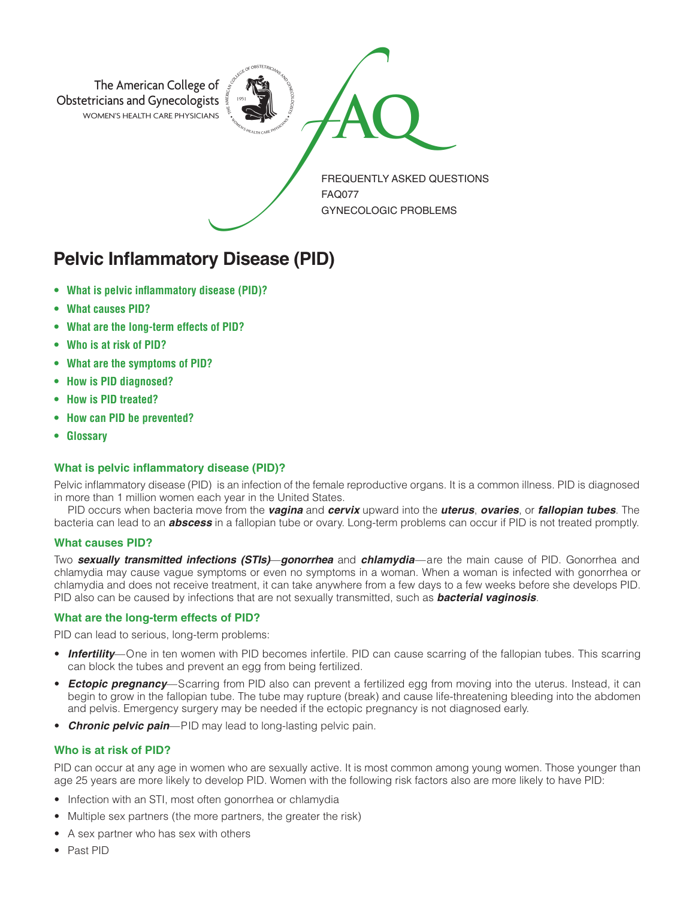

# **Pelvic Inflammatory Disease (PID)**

- **• What is pelvic inflammatory disease (PID)?**
- **• What causes PID?**
- **• What are the long-term effects of PID?**
- **• Who is at risk of PID?**
- **• What are the symptoms of PID?**
- **• How is PID diagnosed?**
- **• How is PID treated?**
- **• How can PID be prevented?**
- **• Glossary**

## **What is pelvic inflammatory disease (PID)?**

Pelvic inflammatory disease (PID) is an infection of the female reproductive organs. It is a common illness. PID is diagnosed in more than 1 million women each year in the United States.

PID occurs when bacteria move from the *vagina* and *cervix* upward into the *uterus*, *ovaries*, or *fallopian tubes*. The bacteria can lead to an *abscess* in a fallopian tube or ovary. Long-term problems can occur if PID is not treated promptly.

## **What causes PID?**

Two *sexually transmitted infections (STIs)*—*gonorrhea* and *chlamydia*—are the main cause of PID. Gonorrhea and chlamydia may cause vague symptoms or even no symptoms in a woman. When a woman is infected with gonorrhea or chlamydia and does not receive treatment, it can take anywhere from a few days to a few weeks before she develops PID. PID also can be caused by infections that are not sexually transmitted, such as *bacterial vaginosis*.

## **What are the long-term effects of PID?**

PID can lead to serious, long-term problems:

- *Infertility*—One in ten women with PID becomes infertile. PID can cause scarring of the fallopian tubes. This scarring can block the tubes and prevent an egg from being fertilized.
- *Ectopic pregnancy*—Scarring from PID also can prevent a fertilized egg from moving into the uterus. Instead, it can begin to grow in the fallopian tube. The tube may rupture (break) and cause life-threatening bleeding into the abdomen and pelvis. Emergency surgery may be needed if the ectopic pregnancy is not diagnosed early.
- *Chronic pelvic pain*—PID may lead to long-lasting pelvic pain.

# **Who is at risk of PID?**

PID can occur at any age in women who are sexually active. It is most common among young women. Those younger than age 25 years are more likely to develop PID. Women with the following risk factors also are more likely to have PID:

- Infection with an STI, most often gonorrhea or chlamydia
- Multiple sex partners (the more partners, the greater the risk)
- A sex partner who has sex with others
- Past PID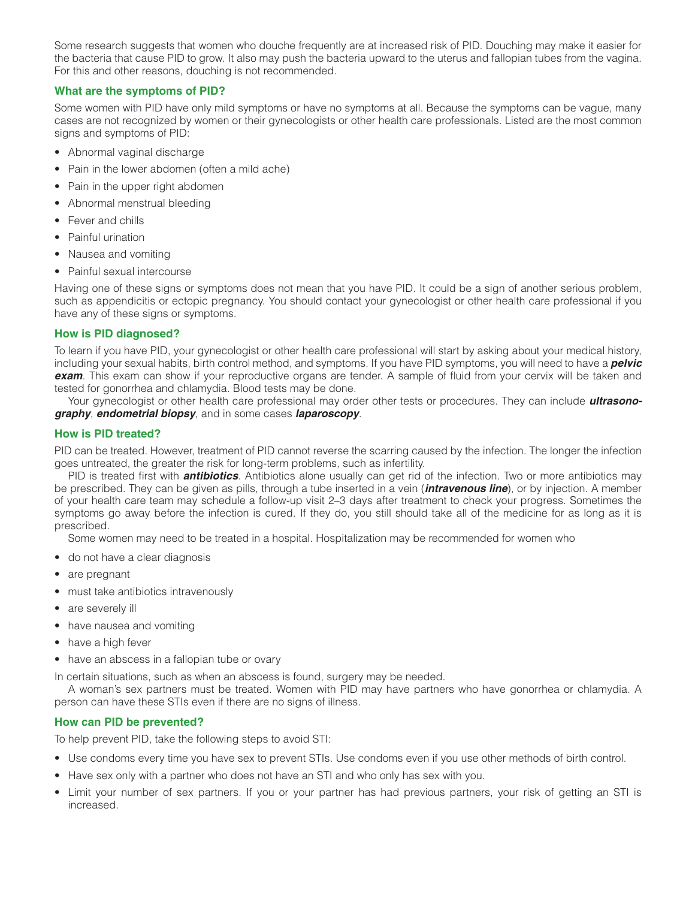Some research suggests that women who douche frequently are at increased risk of PID. Douching may make it easier for the bacteria that cause PID to grow. It also may push the bacteria upward to the uterus and fallopian tubes from the vagina. For this and other reasons, douching is not recommended.

## **What are the symptoms of PID?**

Some women with PID have only mild symptoms or have no symptoms at all. Because the symptoms can be vague, many cases are not recognized by women or their gynecologists or other health care professionals. Listed are the most common signs and symptoms of PID:

- Abnormal vaginal discharge
- Pain in the lower abdomen (often a mild ache)
- Pain in the upper right abdomen
- Abnormal menstrual bleeding
- Fever and chills
- Painful urination
- Nausea and vomiting
- Painful sexual intercourse

Having one of these signs or symptoms does not mean that you have PID. It could be a sign of another serious problem, such as appendicitis or ectopic pregnancy. You should contact your gynecologist or other health care professional if you have any of these signs or symptoms.

#### **How is PID diagnosed?**

To learn if you have PID, your gynecologist or other health care professional will start by asking about your medical history, including your sexual habits, birth control method, and symptoms. If you have PID symptoms, you will need to have a *pelvic exam*. This exam can show if your reproductive organs are tender. A sample of fluid from your cervix will be taken and tested for gonorrhea and chlamydia. Blood tests may be done.

Your gynecologist or other health care professional may order other tests or procedures. They can include *ultrasonography*, *endometrial biopsy*, and in some cases *laparoscopy*.

## **How is PID treated?**

PID can be treated. However, treatment of PID cannot reverse the scarring caused by the infection. The longer the infection goes untreated, the greater the risk for long-term problems, such as infertility.

PID is treated first with *antibiotics*. Antibiotics alone usually can get rid of the infection. Two or more antibiotics may be prescribed. They can be given as pills, through a tube inserted in a vein (*intravenous line*), or by injection. A member of your health care team may schedule a follow-up visit 2–3 days after treatment to check your progress. Sometimes the symptoms go away before the infection is cured. If they do, you still should take all of the medicine for as long as it is prescribed.

Some women may need to be treated in a hospital. Hospitalization may be recommended for women who

- do not have a clear diagnosis
- are pregnant
- must take antibiotics intravenously
- are severely ill
- have nausea and vomiting
- have a high fever
- have an abscess in a fallopian tube or ovary

In certain situations, such as when an abscess is found, surgery may be needed.

A woman's sex partners must be treated. Women with PID may have partners who have gonorrhea or chlamydia. A person can have these STIs even if there are no signs of illness.

## **How can PID be prevented?**

To help prevent PID, take the following steps to avoid STI:

- Use condoms every time you have sex to prevent STIs. Use condoms even if you use other methods of birth control.
- Have sex only with a partner who does not have an STI and who only has sex with you.
- Limit your number of sex partners. If you or your partner has had previous partners, your risk of getting an STI is increased.